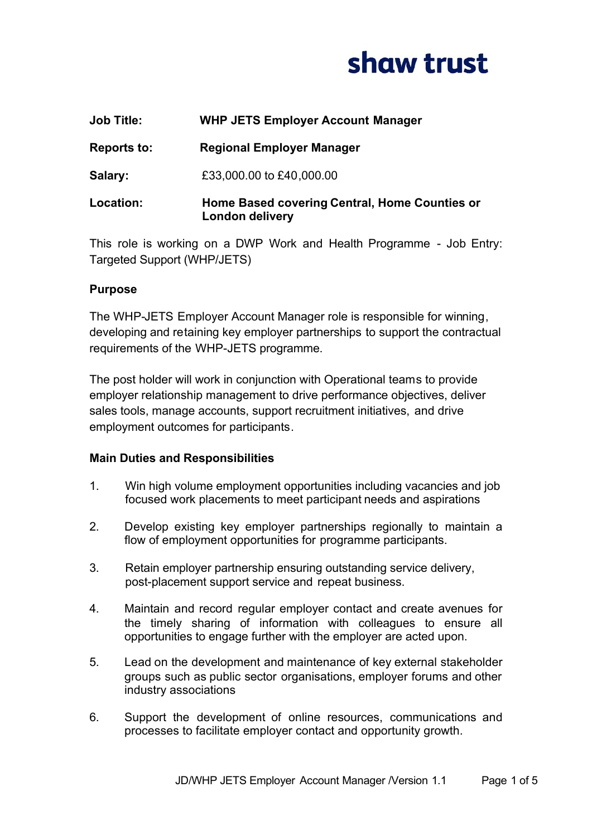

| <b>Job Title:</b> | <b>WHP JETS Employer Account Manager</b>                                |
|-------------------|-------------------------------------------------------------------------|
| Reports to:       | <b>Regional Employer Manager</b>                                        |
| Salary:           | £33,000.00 to £40,000.00                                                |
| Location:         | Home Based covering Central, Home Counties or<br><b>London delivery</b> |

This role is working on a DWP Work and Health Programme - Job Entry: Targeted Support (WHP/JETS)

### **Purpose**

The WHP-JETS Employer Account Manager role is responsible for winning, developing and retaining key employer partnerships to support the contractual requirements of the WHP-JETS programme.

The post holder will work in conjunction with Operational teams to provide employer relationship management to drive performance objectives, deliver sales tools, manage accounts, support recruitment initiatives, and drive employment outcomes for participants.

#### **Main Duties and Responsibilities**

- 1. Win high volume employment opportunities including vacancies and job focused work placements to meet participant needs and aspirations
- 2. Develop existing key employer partnerships regionally to maintain a flow of employment opportunities for programme participants.
- 3. Retain employer partnership ensuring outstanding service delivery, post-placement support service and repeat business.
- 4. Maintain and record regular employer contact and create avenues for the timely sharing of information with colleagues to ensure all opportunities to engage further with the employer are acted upon.
- 5. Lead on the development and maintenance of key external stakeholder groups such as public sector organisations, employer forums and other industry associations
- 6. Support the development of online resources, communications and processes to facilitate employer contact and opportunity growth.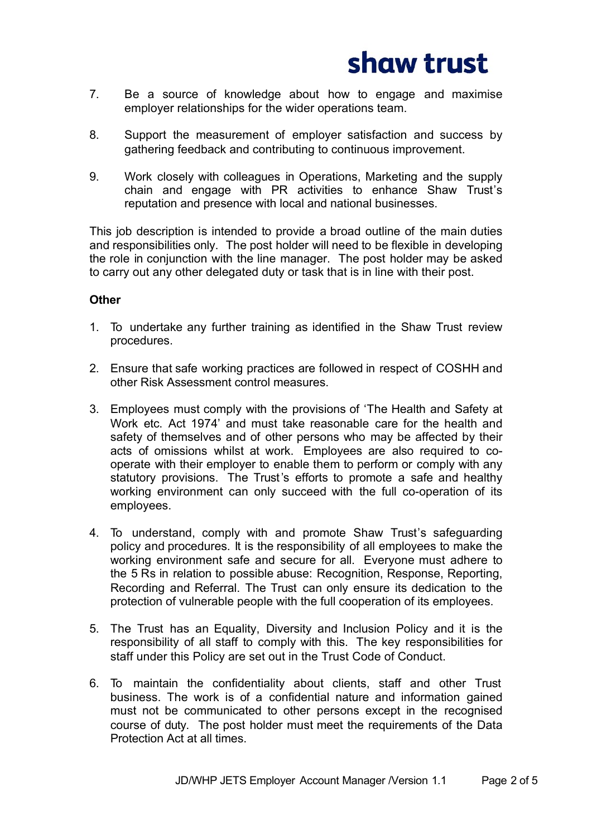

- 7. Be a source of knowledge about how to engage and maximise employer relationships for the wider operations team.
- 8. Support the measurement of employer satisfaction and success by gathering feedback and contributing to continuous improvement.
- 9. Work closely with colleagues in Operations, Marketing and the supply chain and engage with PR activities to enhance Shaw Trust's reputation and presence with local and national businesses.

This job description is intended to provide a broad outline of the main duties and responsibilities only. The post holder will need to be flexible in developing the role in conjunction with the line manager. The post holder may be asked to carry out any other delegated duty or task that is in line with their post.

#### **Other**

- 1. To undertake any further training as identified in the Shaw Trust review procedures.
- 2. Ensure that safe working practices are followed in respect of COSHH and other Risk Assessment control measures.
- 3. Employees must comply with the provisions of 'The Health and Safety at Work etc. Act 1974' and must take reasonable care for the health and safety of themselves and of other persons who may be affected by their acts of omissions whilst at work. Employees are also required to cooperate with their employer to enable them to perform or comply with any statutory provisions. The Trust's efforts to promote a safe and healthy working environment can only succeed with the full co-operation of its employees.
- 4. To understand, comply with and promote Shaw Trust's safeguarding policy and procedures. It is the responsibility of all employees to make the working environment safe and secure for all. Everyone must adhere to the 5 Rs in relation to possible abuse: Recognition, Response, Reporting, Recording and Referral. The Trust can only ensure its dedication to the protection of vulnerable people with the full cooperation of its employees.
- 5. The Trust has an Equality, Diversity and Inclusion Policy and it is the responsibility of all staff to comply with this. The key responsibilities for staff under this Policy are set out in the Trust Code of Conduct.
- 6. To maintain the confidentiality about clients, staff and other Trust business. The work is of a confidential nature and information gained must not be communicated to other persons except in the recognised course of duty. The post holder must meet the requirements of the Data Protection Act at all times.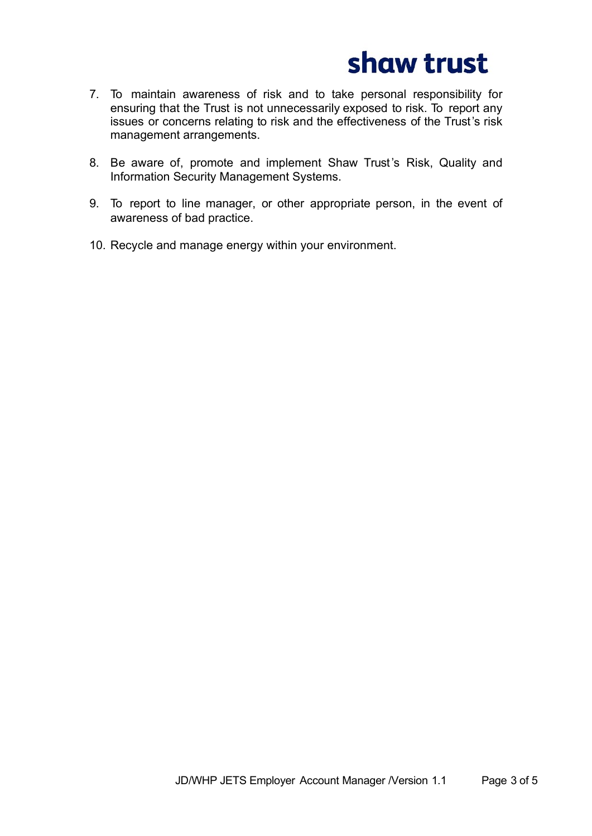

- 7. To maintain awareness of risk and to take personal responsibility for ensuring that the Trust is not unnecessarily exposed to risk. To report any issues or concerns relating to risk and the effectiveness of the Trust's risk management arrangements.
- 8. Be aware of, promote and implement Shaw Trust's Risk, Quality and Information Security Management Systems.
- 9. To report to line manager, or other appropriate person, in the event of awareness of bad practice.
- 10. Recycle and manage energy within your environment.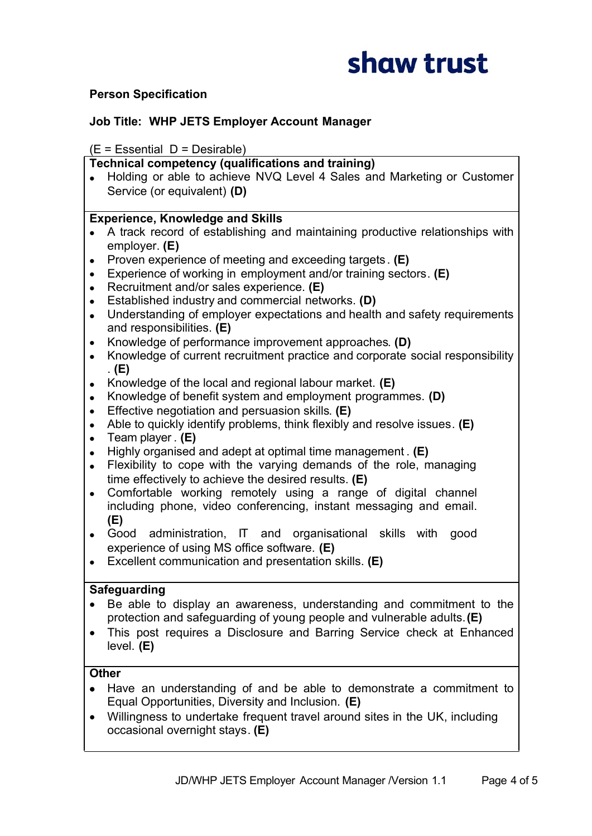

## **Person Specification**

## **Job Title: WHP JETS Employer Account Manager**

#### $(E = E$ ssential  $D = D$ esirable)

#### **Technical competency (qualifications and training)**

· Holding or able to achieve NVQ Level 4 Sales and Marketing or Customer Service (or equivalent) **(D)**

#### **Experience, Knowledge and Skills**

- · A track record of establishing and maintaining productive relationships with employer. **(E)**
- · Proven experience of meeting and exceeding targets. **(E)**
- · Experience of working in employment and/or training sectors. **(E)**
- · Recruitment and/or sales experience. **(E)**
- · Established industry and commercial networks. **(D)**
- · Understanding of employer expectations and health and safety requirements and responsibilities. **(E)**
- · Knowledge of performance improvement approaches. **(D)**
- · Knowledge of current recruitment practice and corporate social responsibility . **(E)**
- · Knowledge of the local and regional labour market. **(E)**
- · Knowledge of benefit system and employment programmes. **(D)**
- · Effective negotiation and persuasion skills. **(E)**
- · Able to quickly identify problems, think flexibly and resolve issues. **(E)**
- · Team player . **(E)**
- · Highly organised and adept at optimal time management . **(E)**
- Flexibility to cope with the varying demands of the role, managing time effectively to achieve the desired results. **(E)**
- · Comfortable working remotely using a range of digital channel including phone, video conferencing, instant messaging and email. **(E)**
- · Good administration, IT and organisational skills with good experience of using MS office software. **(E)**
- · Excellent communication and presentation skills. **(E)**

### **Safeguarding**

- · Be able to display an awareness, understanding and commitment to the protection and safeguarding of young people and vulnerable adults. **(E)**
- · This post requires a Disclosure and Barring Service check at Enhanced level. **(E)**

## **Other**

- · Have an understanding of and be able to demonstrate a commitment to Equal Opportunities, Diversity and Inclusion. **(E)**
- · Willingness to undertake frequent travel around sites in the UK, including occasional overnight stays. **(E)**